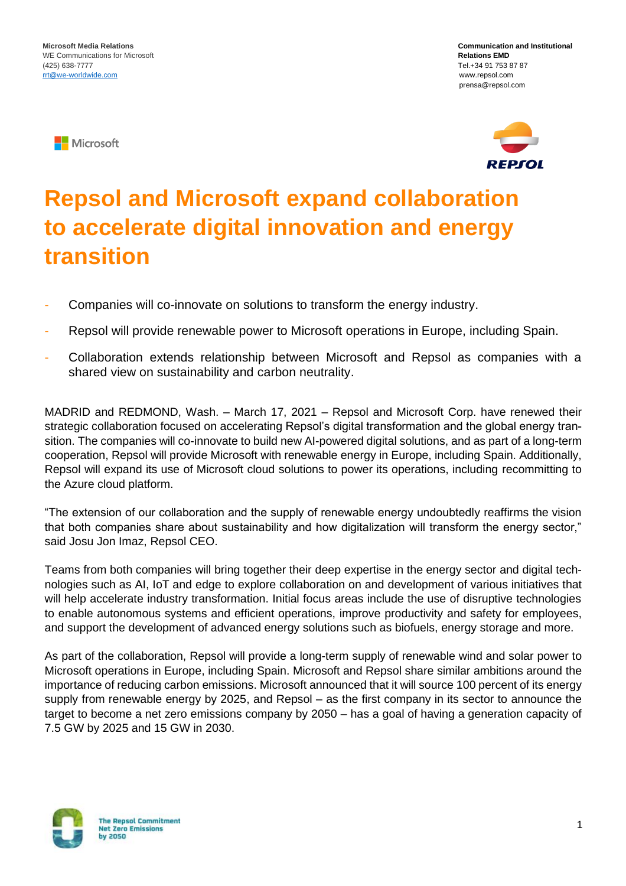**Nicrosoft** 





## **Repsol and Microsoft expand collaboration to accelerate digital innovation and energy transition**

- Companies will co-innovate on solutions to transform the energy industry.
- Repsol will provide renewable power to Microsoft operations in Europe, including Spain.
- Collaboration extends relationship between Microsoft and Repsol as companies with a shared view on sustainability and carbon neutrality.

MADRID and REDMOND, Wash. – March 17, 2021 – Repsol and Microsoft Corp. have renewed their strategic collaboration focused on accelerating Repsol's digital transformation and the global energy transition. The companies will co-innovate to build new AI-powered digital solutions, and as part of a long-term cooperation, Repsol will provide Microsoft with renewable energy in Europe, including Spain. Additionally, Repsol will expand its use of Microsoft cloud solutions to power its operations, including recommitting to the Azure cloud platform.

"The extension of our collaboration and the supply of renewable energy undoubtedly reaffirms the vision that both companies share about sustainability and how digitalization will transform the energy sector," said Josu Jon Imaz, Repsol CEO.

Teams from both companies will bring together their deep expertise in the energy sector and digital technologies such as AI, IoT and edge to explore collaboration on and development of various initiatives that will help accelerate industry transformation. Initial focus areas include the use of disruptive technologies to enable autonomous systems and efficient operations, improve productivity and safety for employees, and support the development of advanced energy solutions such as biofuels, energy storage and more.

As part of the collaboration, Repsol will provide a long-term supply of renewable wind and solar power to Microsoft operations in Europe, including Spain. Microsoft and Repsol share similar ambitions around the importance of reducing carbon emissions. Microsoft announced that it will source 100 percent of its energy supply from renewable energy by 2025, and Repsol – as the first company in its sector to announce the target to become a net zero emissions company by 2050 – has a goal of having a generation capacity of 7.5 GW by 2025 and 15 GW in 2030.